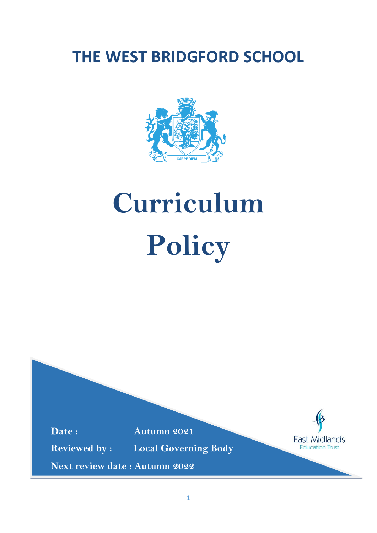# **THE WEST BRIDGFORD SCHOOL**



# **Curriculum Policy**

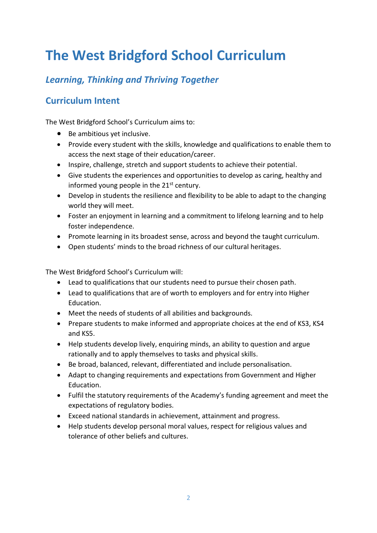# **The West Bridgford School Curriculum**

## *Learning, Thinking and Thriving Together*

## **Curriculum Intent**

The West Bridgford School's Curriculum aims to:

- Be ambitious yet inclusive.
- Provide every student with the skills, knowledge and qualifications to enable them to access the next stage of their education/career.
- Inspire, challenge, stretch and support students to achieve their potential.
- Give students the experiences and opportunities to develop as caring, healthy and informed young people in the  $21^{st}$  century.
- Develop in students the resilience and flexibility to be able to adapt to the changing world they will meet.
- Foster an enjoyment in learning and a commitment to lifelong learning and to help foster independence.
- Promote learning in its broadest sense, across and beyond the taught curriculum.
- Open students' minds to the broad richness of our cultural heritages.

The West Bridgford School's Curriculum will:

- Lead to qualifications that our students need to pursue their chosen path.
- Lead to qualifications that are of worth to employers and for entry into Higher Education.
- Meet the needs of students of all abilities and backgrounds.
- Prepare students to make informed and appropriate choices at the end of KS3, KS4 and KS5.
- Help students develop lively, enquiring minds, an ability to question and argue rationally and to apply themselves to tasks and physical skills.
- Be broad, balanced, relevant, differentiated and include personalisation.
- Adapt to changing requirements and expectations from Government and Higher Education.
- Fulfil the statutory requirements of the Academy's funding agreement and meet the expectations of regulatory bodies.
- Exceed national standards in achievement, attainment and progress.
- Help students develop personal moral values, respect for religious values and tolerance of other beliefs and cultures.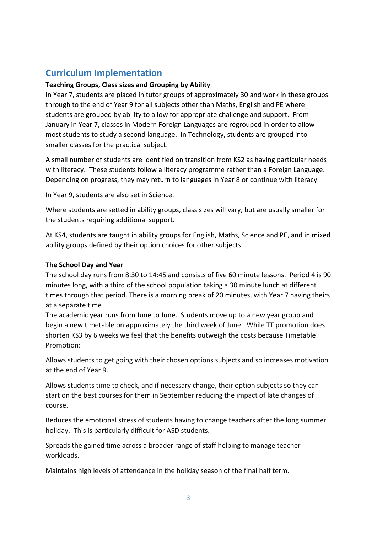### **Curriculum Implementation**

#### **Teaching Groups, Class sizes and Grouping by Ability**

In Year 7, students are placed in tutor groups of approximately 30 and work in these groups through to the end of Year 9 for all subjects other than Maths, English and PE where students are grouped by ability to allow for appropriate challenge and support. From January in Year 7, classes in Modern Foreign Languages are regrouped in order to allow most students to study a second language. In Technology, students are grouped into smaller classes for the practical subject.

A small number of students are identified on transition from KS2 as having particular needs with literacy. These students follow a literacy programme rather than a Foreign Language. Depending on progress, they may return to languages in Year 8 or continue with literacy.

In Year 9, students are also set in Science.

Where students are setted in ability groups, class sizes will vary, but are usually smaller for the students requiring additional support.

At KS4, students are taught in ability groups for English, Maths, Science and PE, and in mixed ability groups defined by their option choices for other subjects.

#### **The School Day and Year**

The school day runs from 8:30 to 14:45 and consists of five 60 minute lessons. Period 4 is 90 minutes long, with a third of the school population taking a 30 minute lunch at different times through that period. There is a morning break of 20 minutes, with Year 7 having theirs at a separate time

The academic year runs from June to June. Students move up to a new year group and begin a new timetable on approximately the third week of June. While TT promotion does shorten KS3 by 6 weeks we feel that the benefits outweigh the costs because Timetable Promotion:

Allows students to get going with their chosen options subjects and so increases motivation at the end of Year 9.

Allows students time to check, and if necessary change, their option subjects so they can start on the best courses for them in September reducing the impact of late changes of course.

Reduces the emotional stress of students having to change teachers after the long summer holiday. This is particularly difficult for ASD students.

Spreads the gained time across a broader range of staff helping to manage teacher workloads.

Maintains high levels of attendance in the holiday season of the final half term.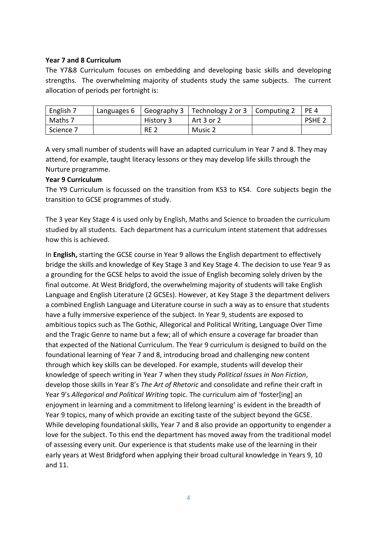#### **Year 7 and 8 Curriculum**

The Y7&8 Curriculum focuses on embedding and developing basic skills and developing strengths. The overwhelming majority of students study the same subjects. The current allocation of periods per fortnight is:

| English 7 | Languages 6 |            | Geography 3   Technology 2 or 3   Computing 2 | PE <sub>4</sub>   |
|-----------|-------------|------------|-----------------------------------------------|-------------------|
| Maths 7   |             | History 3  | Art 3 or 2                                    | PSHE <sub>2</sub> |
| Science 7 |             | <b>RE2</b> | Music 2                                       |                   |

A very small number of students will have an adapted curriculum in Year 7 and 8. They may attend, for example, taught literacy lessons or they may develop life skills through the Nurture programme.

#### **Year 9 Curriculum**

The Y9 Curriculum is focussed on the transition from KS3 to KS4. Core subjects begin the transition to GCSE programmes of study.

The 3 year Key Stage 4 is used only by English, Maths and Science to broaden the curriculum studied by all students. Each department has a curriculum intent statement that addresses how this is achieved.

In **English,** starting the GCSE course in Year 9 allows the English department to effectively bridge the skills and knowledge of Key Stage 3 and Key Stage 4. The decision to use Year 9 as a grounding for the GCSE helps to avoid the issue of English becoming solely driven by the final outcome. At West Bridgford, the overwhelming majority of students will take English Language and English Literature (2 GCSEs). However, at Key Stage 3 the department delivers a combined English Language and Literature course in such a way as to ensure that students have a fully immersive experience of the subject. In Year 9, students are exposed to ambitious topics such as The Gothic, Allegorical and Political Writing, Language Over Time and the Tragic Genre to name but a few; all of which ensure a coverage far broader than that expected of the National Curriculum. The Year 9 curriculum is designed to build on the foundational learning of Year 7 and 8, introducing broad and challenging new content through which key skills can be developed. For example, students will develop their knowledge of speech writing in Year 7 when they study *Political Issues in Non Fiction*, develop those skills in Year 8's *The Art of Rhetoric* and consolidate and refine their craft in Year 9's *Allegorical and Political Writing* topic. The curriculum aim of 'foster[ing] an enjoyment in learning and a commitment to lifelong learning' is evident in the breadth of Year 9 topics, many of which provide an exciting taste of the subject beyond the GCSE. While developing foundational skills, Year 7 and 8 also provide an opportunity to engender a love for the subject. To this end the department has moved away from the traditional model of assessing every unit. Our experience is that students make use of the learning in their early years at West Bridgford when applying their broad cultural knowledge in Years 9, 10 and 11.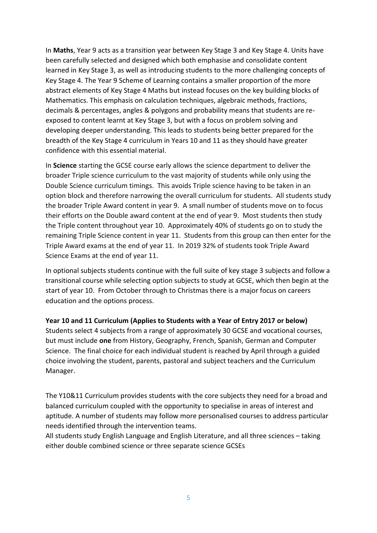In **Maths**, Year 9 acts as a transition year between Key Stage 3 and Key Stage 4. Units have been carefully selected and designed which both emphasise and consolidate content learned in Key Stage 3, as well as introducing students to the more challenging concepts of Key Stage 4. The Year 9 Scheme of Learning contains a smaller proportion of the more abstract elements of Key Stage 4 Maths but instead focuses on the key building blocks of Mathematics. This emphasis on calculation techniques, algebraic methods, fractions, decimals & percentages, angles & polygons and probability means that students are reexposed to content learnt at Key Stage 3, but with a focus on problem solving and developing deeper understanding. This leads to students being better prepared for the breadth of the Key Stage 4 curriculum in Years 10 and 11 as they should have greater confidence with this essential material.

In **Science** starting the GCSE course early allows the science department to deliver the broader Triple science curriculum to the vast majority of students while only using the Double Science curriculum timings. This avoids Triple science having to be taken in an option block and therefore narrowing the overall curriculum for students. All students study the broader Triple Award content in year 9. A small number of students move on to focus their efforts on the Double award content at the end of year 9. Most students then study the Triple content throughout year 10. Approximately 40% of students go on to study the remaining Triple Science content in year 11. Students from this group can then enter for the Triple Award exams at the end of year 11. In 2019 32% of students took Triple Award Science Exams at the end of year 11.

In optional subjects students continue with the full suite of key stage 3 subjects and follow a transitional course while selecting option subjects to study at GCSE, which then begin at the start of year 10. From October through to Christmas there is a major focus on careers education and the options process.

**Year 10 and 11 Curriculum (Applies to Students with a Year of Entry 2017 or below)**

Students select 4 subjects from a range of approximately 30 GCSE and vocational courses, but must include **one** from History, Geography, French, Spanish, German and Computer Science. The final choice for each individual student is reached by April through a guided choice involving the student, parents, pastoral and subject teachers and the Curriculum Manager.

The Y10&11 Curriculum provides students with the core subjects they need for a broad and balanced curriculum coupled with the opportunity to specialise in areas of interest and aptitude. A number of students may follow more personalised courses to address particular needs identified through the intervention teams.

All students study English Language and English Literature, and all three sciences – taking either double combined science or three separate science GCSEs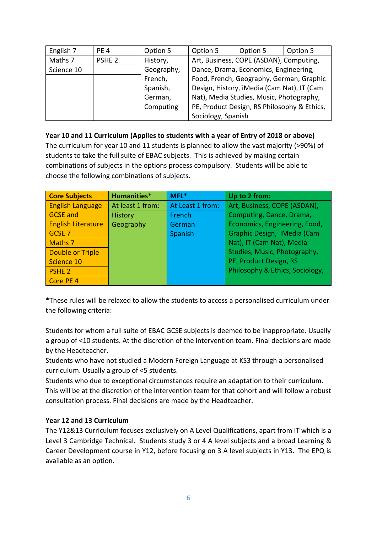| English 7  | PE <sub>4</sub>   | Option 5   | Option 5                                   | Option 5                                    | Option 5 |
|------------|-------------------|------------|--------------------------------------------|---------------------------------------------|----------|
| Maths 7    | PSHE <sub>2</sub> | History,   | Art, Business, COPE (ASDAN), Computing,    |                                             |          |
| Science 10 |                   | Geography, | Dance, Drama, Economics, Engineering,      |                                             |          |
|            |                   | French,    | Food, French, Geography, German, Graphic   |                                             |          |
|            |                   | Spanish,   | Design, History, iMedia (Cam Nat), IT (Cam |                                             |          |
|            |                   | German,    | Nat), Media Studies, Music, Photography,   |                                             |          |
|            |                   | Computing  |                                            | PE, Product Design, RS Philosophy & Ethics, |          |
|            |                   |            | Sociology, Spanish                         |                                             |          |

#### **Year 10 and 11 Curriculum (Applies to students with a year of Entry of 2018 or above)**

The curriculum for year 10 and 11 students is planned to allow the vast majority (>90%) of students to take the full suite of EBAC subjects. This is achieved by making certain combinations of subjects in the options process compulsory. Students will be able to choose the following combinations of subjects.

| <b>Core Subjects</b>      | Humanities*      | $MFL*$           | Up to 2 from:                   |
|---------------------------|------------------|------------------|---------------------------------|
| <b>English Language</b>   | At least 1 from: | At Least 1 from: | Art, Business, COPE (ASDAN),    |
| <b>GCSE and</b>           | <b>History</b>   | French           | Computing, Dance, Drama,        |
| <b>English Literature</b> | Geography        | German           | Economics, Engineering, Food,   |
| GCSE <sub>7</sub>         |                  | Spanish          | Graphic Design, iMedia (Cam     |
| Maths 7                   |                  |                  | Nat), IT (Cam Nat), Media       |
| <b>Double or Triple</b>   |                  |                  | Studies, Music, Photography,    |
| Science 10                |                  |                  | PE, Product Design, RS          |
| PSHE <sub>2</sub>         |                  |                  | Philosophy & Ethics, Sociology, |
| Core PE 4                 |                  |                  |                                 |

\*These rules will be relaxed to allow the students to access a personalised curriculum under the following criteria:

Students for whom a full suite of EBAC GCSE subjects is deemed to be inappropriate. Usually a group of <10 students. At the discretion of the intervention team. Final decisions are made by the Headteacher.

Students who have not studied a Modern Foreign Language at KS3 through a personalised curriculum. Usually a group of <5 students.

Students who due to exceptional circumstances require an adaptation to their curriculum. This will be at the discretion of the intervention team for that cohort and will follow a robust consultation process. Final decisions are made by the Headteacher.

#### **Year 12 and 13 Curriculum**

The Y12&13 Curriculum focuses exclusively on A Level Qualifications, apart from IT which is a Level 3 Cambridge Technical. Students study 3 or 4 A level subjects and a broad Learning & Career Development course in Y12, before focusing on 3 A level subjects in Y13. The EPQ is available as an option.